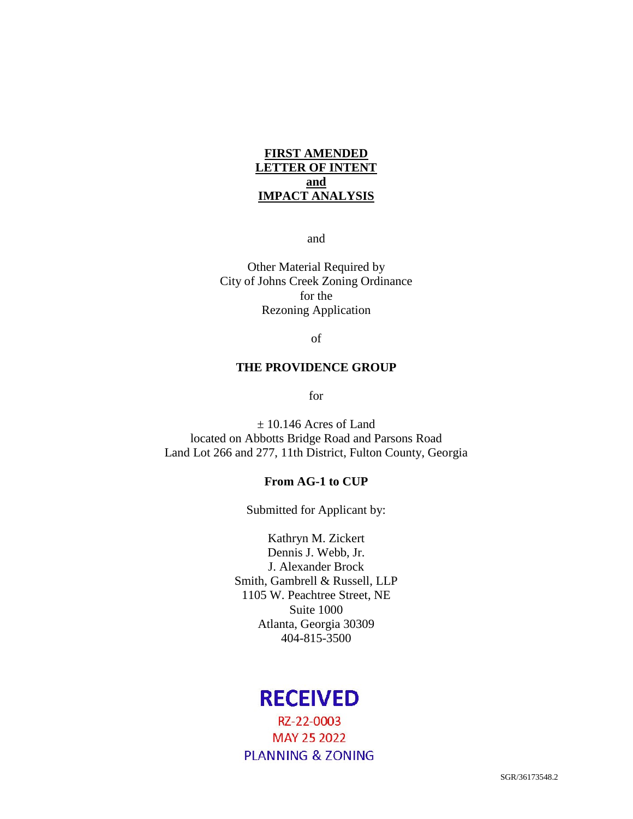## **FIRST AMENDED LETTER OF INTENT and IMPACT ANALYSIS**

and

Other Material Required by City of Johns Creek Zoning Ordinance for the Rezoning Application

of

#### **THE PROVIDENCE GROUP**

for

± 10.146 Acres of Land located on Abbotts Bridge Road and Parsons Road Land Lot 266 and 277, 11th District, Fulton County, Georgia

## **From AG-1 to CUP**

Submitted for Applicant by:

Kathryn M. Zickert Dennis J. Webb, Jr. J. Alexander Brock Smith, Gambrell & Russell, LLP 1105 W. Peachtree Street, NE Suite 1000 Atlanta, Georgia 30309 404-815-3500

# **RECEIVED**

RZ-22-0003 **MAY 25 2022 PLANNING & ZONING**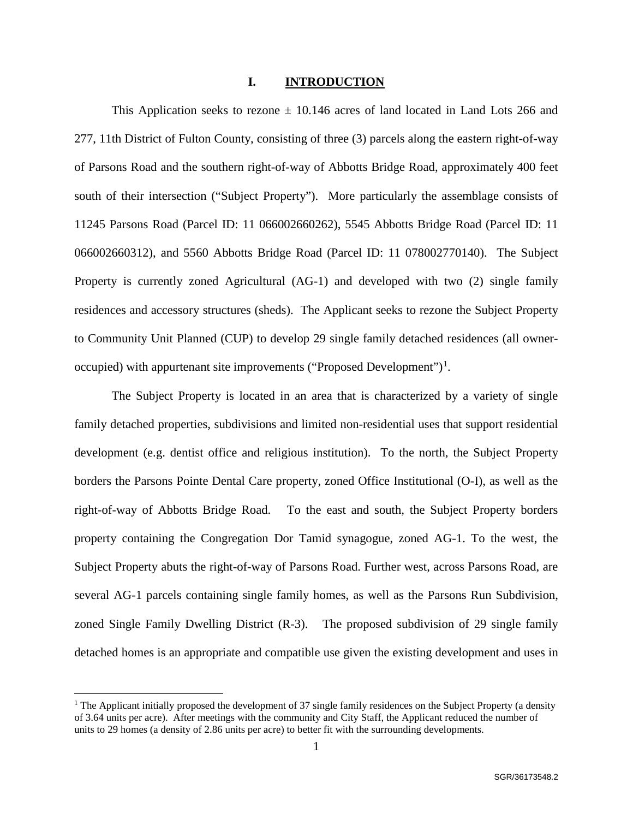### **I. INTRODUCTION**

This Application seeks to rezone  $\pm$  10.146 acres of land located in Land Lots 266 and 277, 11th District of Fulton County, consisting of three (3) parcels along the eastern right-of-way of Parsons Road and the southern right-of-way of Abbotts Bridge Road, approximately 400 feet south of their intersection ("Subject Property"). More particularly the assemblage consists of 11245 Parsons Road (Parcel ID: 11 066002660262), 5545 Abbotts Bridge Road (Parcel ID: 11 066002660312), and 5560 Abbotts Bridge Road (Parcel ID: 11 078002770140). The Subject Property is currently zoned Agricultural (AG-1) and developed with two (2) single family residences and accessory structures (sheds). The Applicant seeks to rezone the Subject Property to Community Unit Planned (CUP) to develop 29 single family detached residences (all owner-occupied) with appurtenant site improvements ("Proposed Development")<sup>[1](#page-1-0)</sup>.

The Subject Property is located in an area that is characterized by a variety of single family detached properties, subdivisions and limited non-residential uses that support residential development (e.g. dentist office and religious institution). To the north, the Subject Property borders the Parsons Pointe Dental Care property, zoned Office Institutional (O-I), as well as the right-of-way of Abbotts Bridge Road. To the east and south, the Subject Property borders property containing the Congregation Dor Tamid synagogue, zoned AG-1. To the west, the Subject Property abuts the right-of-way of Parsons Road. Further west, across Parsons Road, are several AG-1 parcels containing single family homes, as well as the Parsons Run Subdivision, zoned Single Family Dwelling District (R-3). The proposed subdivision of 29 single family detached homes is an appropriate and compatible use given the existing development and uses in

<span id="page-1-0"></span><sup>&</sup>lt;sup>1</sup> The Applicant initially proposed the development of 37 single family residences on the Subject Property (a density of 3.64 units per acre). After meetings with the community and City Staff, the Applicant reduced the number of units to 29 homes (a density of 2.86 units per acre) to better fit with the surrounding developments.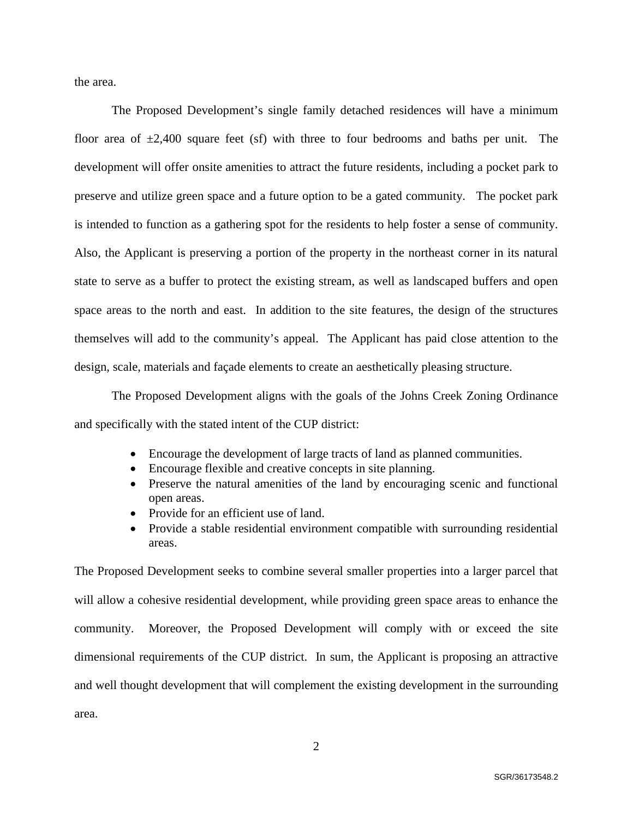the area.

The Proposed Development's single family detached residences will have a minimum floor area of  $\pm 2,400$  square feet (sf) with three to four bedrooms and baths per unit. The development will offer onsite amenities to attract the future residents, including a pocket park to preserve and utilize green space and a future option to be a gated community. The pocket park is intended to function as a gathering spot for the residents to help foster a sense of community. Also, the Applicant is preserving a portion of the property in the northeast corner in its natural state to serve as a buffer to protect the existing stream, as well as landscaped buffers and open space areas to the north and east. In addition to the site features, the design of the structures themselves will add to the community's appeal. The Applicant has paid close attention to the design, scale, materials and façade elements to create an aesthetically pleasing structure.

The Proposed Development aligns with the goals of the Johns Creek Zoning Ordinance and specifically with the stated intent of the CUP district:

- Encourage the development of large tracts of land as planned communities.
- Encourage flexible and creative concepts in site planning.
- Preserve the natural amenities of the land by encouraging scenic and functional open areas.
- Provide for an efficient use of land.
- Provide a stable residential environment compatible with surrounding residential areas.

The Proposed Development seeks to combine several smaller properties into a larger parcel that will allow a cohesive residential development, while providing green space areas to enhance the community. Moreover, the Proposed Development will comply with or exceed the site dimensional requirements of the CUP district. In sum, the Applicant is proposing an attractive and well thought development that will complement the existing development in the surrounding area.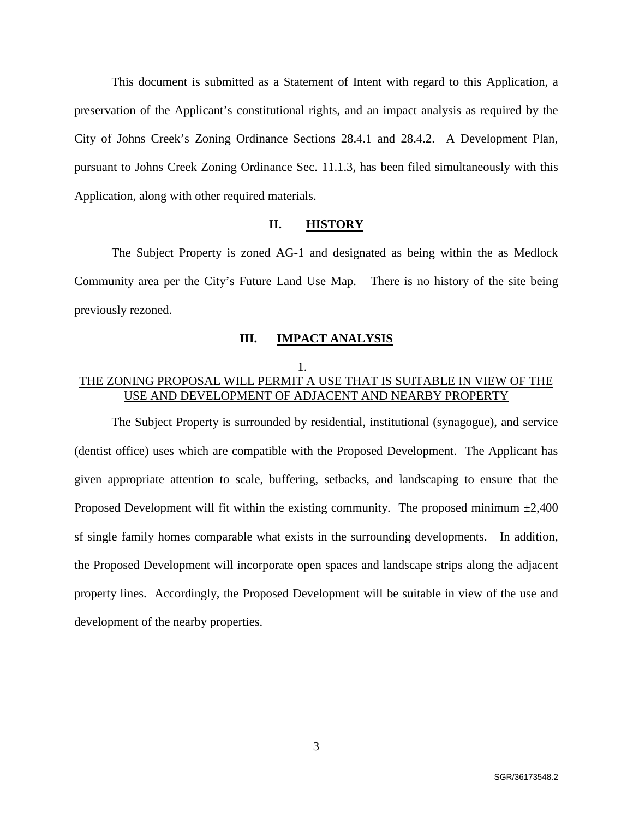This document is submitted as a Statement of Intent with regard to this Application, a preservation of the Applicant's constitutional rights, and an impact analysis as required by the City of Johns Creek's Zoning Ordinance Sections 28.4.1 and 28.4.2. A Development Plan, pursuant to Johns Creek Zoning Ordinance Sec. 11.1.3, has been filed simultaneously with this Application, along with other required materials.

### **II. HISTORY**

The Subject Property is zoned AG-1 and designated as being within the as Medlock Community area per the City's Future Land Use Map. There is no history of the site being previously rezoned.

#### **III. IMPACT ANALYSIS**

## 1. THE ZONING PROPOSAL WILL PERMIT A USE THAT IS SUITABLE IN VIEW OF THE USE AND DEVELOPMENT OF ADJACENT AND NEARBY PROPERTY

The Subject Property is surrounded by residential, institutional (synagogue), and service (dentist office) uses which are compatible with the Proposed Development. The Applicant has given appropriate attention to scale, buffering, setbacks, and landscaping to ensure that the Proposed Development will fit within the existing community. The proposed minimum  $\pm 2,400$ sf single family homes comparable what exists in the surrounding developments. In addition, the Proposed Development will incorporate open spaces and landscape strips along the adjacent property lines. Accordingly, the Proposed Development will be suitable in view of the use and development of the nearby properties.

3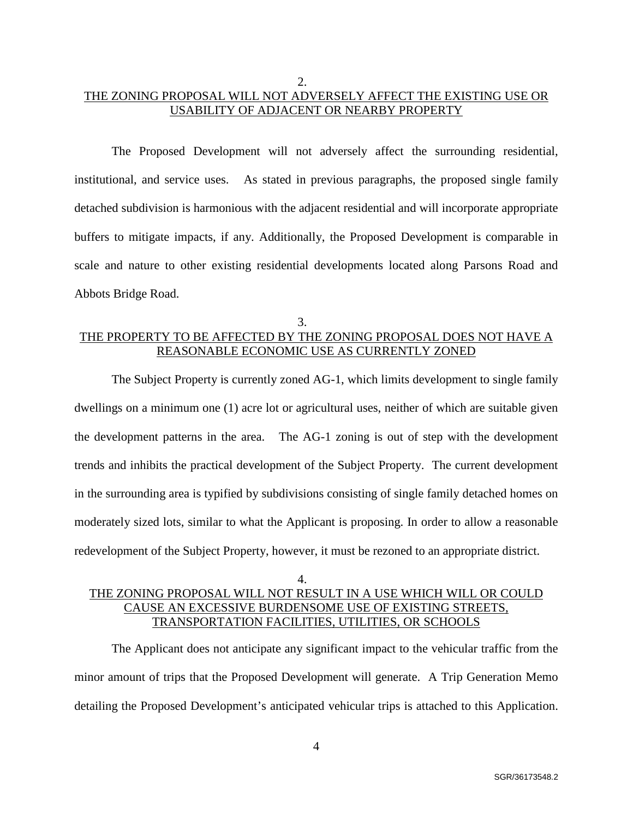## 2. THE ZONING PROPOSAL WILL NOT ADVERSELY AFFECT THE EXISTING USE OR USABILITY OF ADJACENT OR NEARBY PROPERTY

The Proposed Development will not adversely affect the surrounding residential, institutional, and service uses. As stated in previous paragraphs, the proposed single family detached subdivision is harmonious with the adjacent residential and will incorporate appropriate buffers to mitigate impacts, if any. Additionally, the Proposed Development is comparable in scale and nature to other existing residential developments located along Parsons Road and Abbots Bridge Road.

## 3. THE PROPERTY TO BE AFFECTED BY THE ZONING PROPOSAL DOES NOT HAVE A REASONABLE ECONOMIC USE AS CURRENTLY ZONED

The Subject Property is currently zoned AG-1, which limits development to single family dwellings on a minimum one (1) acre lot or agricultural uses, neither of which are suitable given the development patterns in the area. The AG-1 zoning is out of step with the development trends and inhibits the practical development of the Subject Property. The current development in the surrounding area is typified by subdivisions consisting of single family detached homes on moderately sized lots, similar to what the Applicant is proposing. In order to allow a reasonable redevelopment of the Subject Property, however, it must be rezoned to an appropriate district.

# 4. THE ZONING PROPOSAL WILL NOT RESULT IN A USE WHICH WILL OR COULD CAUSE AN EXCESSIVE BURDENSOME USE OF EXISTING STREETS, TRANSPORTATION FACILITIES, UTILITIES, OR SCHOOLS

The Applicant does not anticipate any significant impact to the vehicular traffic from the minor amount of trips that the Proposed Development will generate. A Trip Generation Memo detailing the Proposed Development's anticipated vehicular trips is attached to this Application.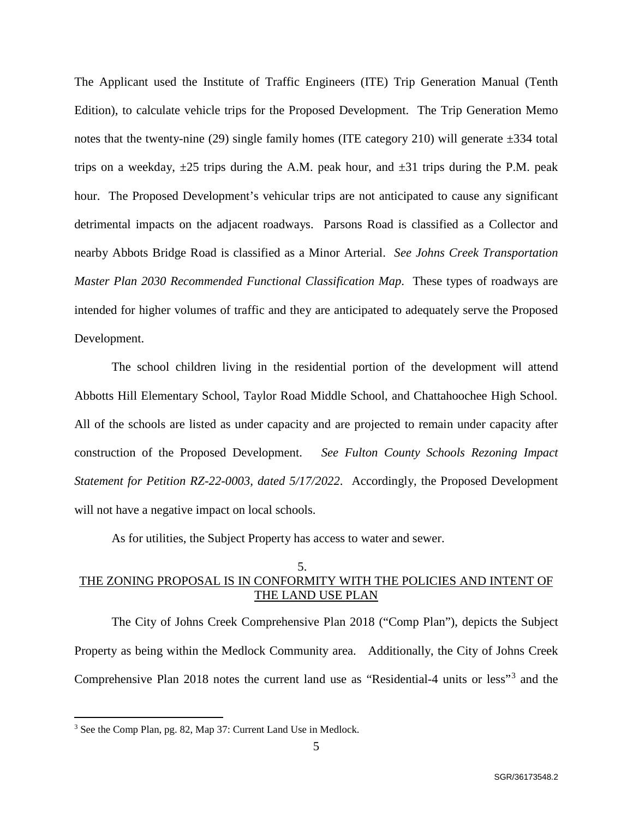<span id="page-5-0"></span>The Applicant used the Institute of Traffic Engineers (ITE) Trip Generation Manual (Tenth Edition), to calculate vehicle trips for the Proposed Development. The Trip Generation Memo notes that the twenty-nine (29) single family homes (ITE category 210) will generate  $\pm 334$  total trips on a weekday,  $\pm 25$  trips during the A.M. peak hour, and  $\pm 31$  trips during the P.M. peak hour. The Proposed Development's vehicular trips are not anticipated to cause any significant detrimental impacts on the adjacent roadways. Parsons Road is classified as a Collector and nearby Abbots Bridge Road is classified as a Minor Arterial. *See Johns Creek Transportation Master Plan 2030 Recommended Functional Classification Map*. These types of roadways are intended for higher volumes of traffic and they are anticipated to adequately serve the Proposed Development.

The school children living in the residential portion of the development will attend Abbotts Hill Elementary School, Taylor Road Middle School, and Chattahoochee High School. All of the schools are listed as under capacity and are projected to remain under capacity after construction of the Proposed Development. *See Fulton County Schools Rezoning Impact Statement for Petition RZ-22-0003, dated 5/17/2022*. Accordingly, the Proposed Development will not have a negative impact on local schools.

As for utilities, the Subject Property has access to water and sewer.

# 5.

# THE ZONING PROPOSAL IS IN CONFORMITY WITH THE POLICIES AND INTENT OF THE LAND USE PLAN

The City of Johns Creek Comprehensive Plan 2018 ("Comp Plan"), depicts the Subject Property as being within the Medlock Community area. Additionally, the City of Johns Creek Comprehensive Plan 2018 notes the current land use as "Residential-4 units or less"[3](#page-5-1) and the

<span id="page-5-1"></span> <sup>3</sup> See the Comp Plan, pg. 82, Map 37: Current Land Use in Medlock.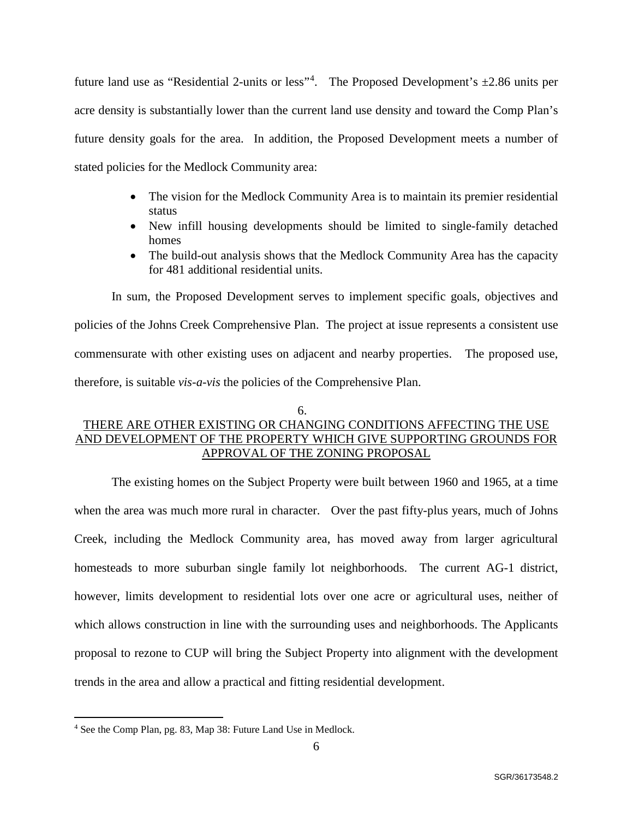future land use as "Residential 2-units or less"<sup>[4](#page-6-0)</sup>. The Proposed Development's  $\pm$ 2.86 units per acre density is substantially lower than the current land use density and toward the Comp Plan's future density goals for the area. In addition, the Proposed Development meets a number of stated policies for the Medlock Community area:

- The vision for the Medlock Community Area is to maintain its premier residential status
- New infill housing developments should be limited to single-family detached homes
- The build-out analysis shows that the Medlock Community Area has the capacity for 481 additional residential units.

In sum, the Proposed Development serves to implement specific goals, objectives and policies of the Johns Creek Comprehensive Plan. The project at issue represents a consistent use commensurate with other existing uses on adjacent and nearby properties. The proposed use, therefore, is suitable *vis-a-vis* the policies of the Comprehensive Plan.

#### 6.

# THERE ARE OTHER EXISTING OR CHANGING CONDITIONS AFFECTING THE USE AND DEVELOPMENT OF THE PROPERTY WHICH GIVE SUPPORTING GROUNDS FOR APPROVAL OF THE ZONING PROPOSAL

The existing homes on the Subject Property were built between 1960 and 1965, at a time when the area was much more rural in character. Over the past fifty-plus years, much of Johns Creek, including the Medlock Community area, has moved away from larger agricultural homesteads to more suburban single family lot neighborhoods. The current AG-1 district, however, limits development to residential lots over one acre or agricultural uses, neither of which allows construction in line with the surrounding uses and neighborhoods. The Applicants proposal to rezone to CUP will bring the Subject Property into alignment with the development trends in the area and allow a practical and fitting residential development.

<span id="page-6-0"></span> <sup>4</sup> See the Comp Plan, pg. 83, Map 38: Future Land Use in Medlock.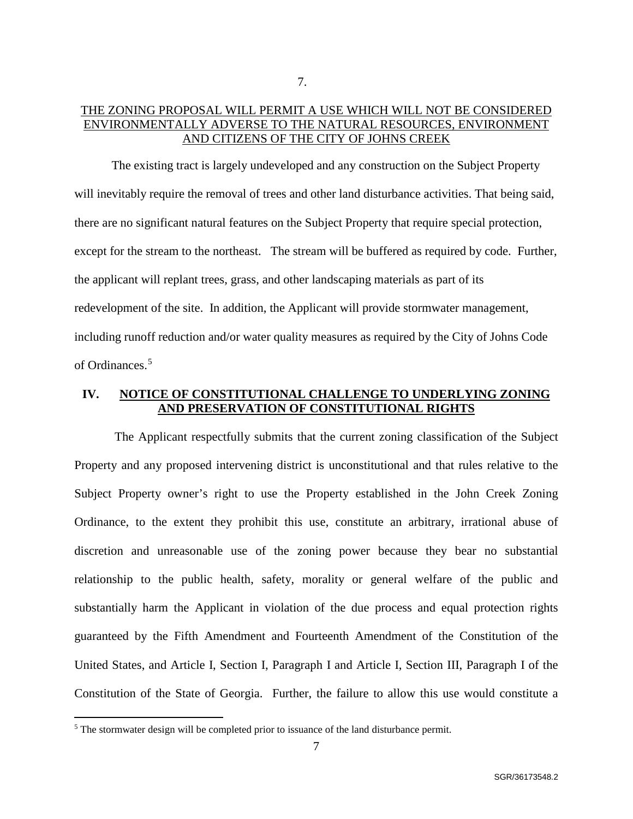# THE ZONING PROPOSAL WILL PERMIT A USE WHICH WILL NOT BE CONSIDERED ENVIRONMENTALLY ADVERSE TO THE NATURAL RESOURCES, ENVIRONMENT AND CITIZENS OF THE CITY OF JOHNS CREEK

The existing tract is largely undeveloped and any construction on the Subject Property will inevitably require the removal of trees and other land disturbance activities. That being said, there are no significant natural features on the Subject Property that require special protection, except for the stream to the northeast. The stream will be buffered as required by code. Further, the applicant will replant trees, grass, and other landscaping materials as part of its redevelopment of the site. In addition, the Applicant will provide stormwater management, including runoff reduction and/or water quality measures as required by the City of Johns Code of Ordinances.[5](#page-7-0)

# **IV. NOTICE OF CONSTITUTIONAL CHALLENGE TO UNDERLYING ZONING AND PRESERVATION OF CONSTITUTIONAL RIGHTS**

The Applicant respectfully submits that the current zoning classification of the Subject Property and any proposed intervening district is unconstitutional and that rules relative to the Subject Property owner's right to use the Property established in the John Creek Zoning Ordinance, to the extent they prohibit this use, constitute an arbitrary, irrational abuse of discretion and unreasonable use of the zoning power because they bear no substantial relationship to the public health, safety, morality or general welfare of the public and substantially harm the Applicant in violation of the due process and equal protection rights guaranteed by the Fifth Amendment and Fourteenth Amendment of the Constitution of the United States, and Article I, Section I, Paragraph I and Article I, Section III, Paragraph I of the Constitution of the State of Georgia. Further, the failure to allow this use would constitute a

<span id="page-7-0"></span><sup>&</sup>lt;sup>5</sup> The stormwater design will be completed prior to issuance of the land disturbance permit.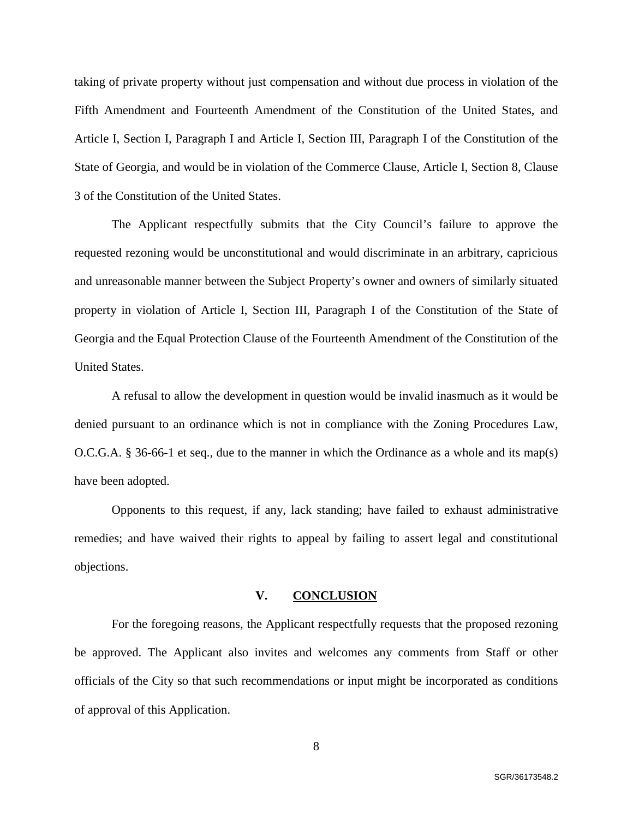taking of private property without just compensation and without due process in violation of the Fifth Amendment and Fourteenth Amendment of the Constitution of the United States, and Article I, Section I, Paragraph I and Article I, Section III, Paragraph I of the Constitution of the State of Georgia, and would be in violation of the Commerce Clause, Article I, Section 8, Clause 3 of the Constitution of the United States.

The Applicant respectfully submits that the City Council's failure to approve the requested rezoning would be unconstitutional and would discriminate in an arbitrary, capricious and unreasonable manner between the Subject Property's owner and owners of similarly situated property in violation of Article I, Section III, Paragraph I of the Constitution of the State of Georgia and the Equal Protection Clause of the Fourteenth Amendment of the Constitution of the United States.

A refusal to allow the development in question would be invalid inasmuch as it would be denied pursuant to an ordinance which is not in compliance with the Zoning Procedures Law, O.C.G.A. § 36-66-1 et seq., due to the manner in which the Ordinance as a whole and its map(s) have been adopted.

Opponents to this request, if any, lack standing; have failed to exhaust administrative remedies; and have waived their rights to appeal by failing to assert legal and constitutional objections.

#### **V. CONCLUSION**

For the foregoing reasons, the Applicant respectfully requests that the proposed rezoning be approved. The Applicant also invites and welcomes any comments from Staff or other officials of the City so that such recommendations or input might be incorporated as conditions of approval of this Application.